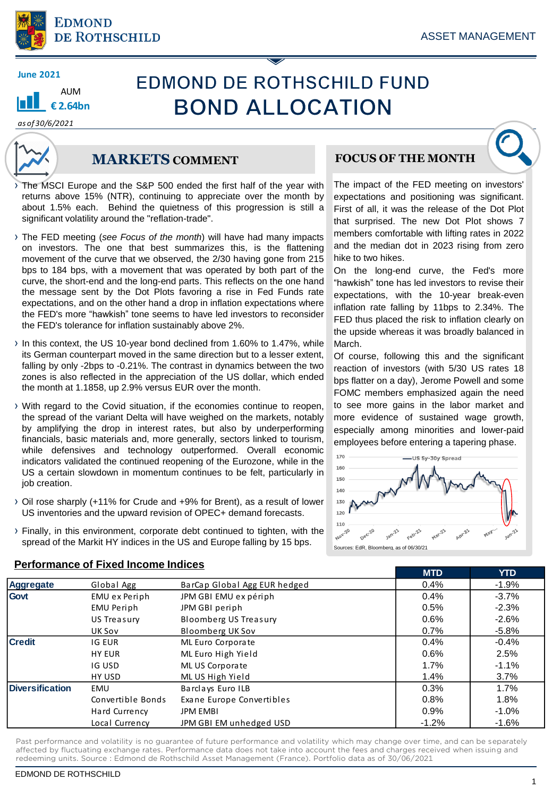

## **AUM € 2.64bn**

# **EDMOND DE ROTHSCHILD FUND BOND ALLOCATION**

*as of 30/6/2021*



## **MARKETS COMMENT**

The MSCI Europe and the S&P 500 ended the first half of the year with returns above 15% (NTR), continuing to appreciate over the month by about 1.5% each. Behind the quietness of this progression is still a significant volatility around the "reflation-trade".

- › The FED meeting (*see Focus of the month*) will have had many impacts on investors. The one that best summarizes this, is the flattening movement of the curve that we observed, the 2/30 having gone from 215 bps to 184 bps, with a movement that was operated by both part of the curve, the short-end and the long-end parts. This reflects on the one hand the message sent by the Dot Plots favoring a rise in Fed Funds rate expectations, and on the other hand a drop in inflation expectations where the FED's more "hawkish" tone seems to have led investors to reconsider the FED's tolerance for inflation sustainably above 2%.
- › In this context, the US 10-year bond declined from 1.60% to 1.47%, while its German counterpart moved in the same direction but to a lesser extent, falling by only -2bps to -0.21%. The contrast in dynamics between the two zones is also reflected in the appreciation of the US dollar, which ended the month at 1.1858, up 2.9% versus EUR over the month.
- › With regard to the Covid situation, if the economies continue to reopen, the spread of the variant Delta will have weighed on the markets, notably by amplifying the drop in interest rates, but also by underperforming financials, basic materials and, more generally, sectors linked to tourism, while defensives and technology outperformed. Overall economic indicators validated the continued reopening of the Eurozone, while in the US a certain slowdown in momentum continues to be felt, particularly in job creation.
- › Oil rose sharply (+11% for Crude and +9% for Brent), as a result of lower US inventories and the upward revision of OPEC+ demand forecasts.
- › Finally, in this environment, corporate debt continued to tighten, with the spread of the Markit HY indices in the US and Europe falling by 15 bps.

**Performance of Fixed Income Indices**

## **FOCUS OF THE MONTH**



The impact of the FED meeting on investors' expectations and positioning was significant. First of all, it was the release of the Dot Plot that surprised. The new Dot Plot shows 7 members comfortable with lifting rates in 2022 and the median dot in 2023 rising from zero hike to two hikes.

On the long-end curve, the Fed's more "hawkish" tone has led investors to revise their expectations, with the 10-year break-even inflation rate falling by 11bps to 2.34%. The FED thus placed the risk to inflation clearly on the upside whereas it was broadly balanced in March.

Of course, following this and the significant reaction of investors (with 5/30 US rates 18 bps flatter on a day), Jerome Powell and some FOMC members emphasized again the need to see more gains in the labor market and more evidence of sustained wage growth, especially among minorities and lower-paid employees before entering a tapering phase.



**MTD YTD**

Sources: EdR, Bloomberg, as of 06/30/2

| <b>Aggregate</b>       | Global Agg        | BarCap Global Agg EUR hedged | 0.4%    | $-1.9%$  |
|------------------------|-------------------|------------------------------|---------|----------|
| Govt                   | EMU ex Periph     | JPM GBI EMU ex périph        | 0.4%    | $-3.7%$  |
|                        | EMU Periph        | JPM GBI periph               | 0.5%    | $-2.3%$  |
|                        | US Treasury       | <b>Bloomberg US Treasury</b> | 0.6%    | $-2.6%$  |
|                        | UK Sov            | <b>Bloomberg UK Sov</b>      | 0.7%    | $-5.8\%$ |
| <b>Credit</b>          | IG EUR            | ML Euro Corporate            | 0.4%    | $-0.4%$  |
|                        | <b>HY EUR</b>     | ML Euro High Yield           | 0.6%    | 2.5%     |
|                        | IG USD            | ML US Corporate              | $1.7\%$ | $-1.1%$  |
|                        | HY USD            | ML US High Yield             | 1.4%    | 3.7%     |
| <b>Diversification</b> | EMU               | Barclays Euro ILB            | 0.3%    | 1.7%     |
|                        | Convertible Bonds | Exane Europe Convertibles    | 0.8%    | 1.8%     |
|                        | Hard Currency     | <b>JPM EMBI</b>              | 0.9%    | $-1.0%$  |
|                        | Local Currency    | JPM GBI EM unhedged USD      | $-1.2%$ | $-1.6\%$ |

Past performance and volatility is no guarantee of future performance and volatility which may change over time, and can be separately affected by fluctuating exchange rates. Performance data does not take into account the fees and charges received when issuing and redeeming units. Source : Edmond de Rothschild Asset Management (France). Portfolio data as of 30/06/2021

#### EDMOND DE ROTHSCHILD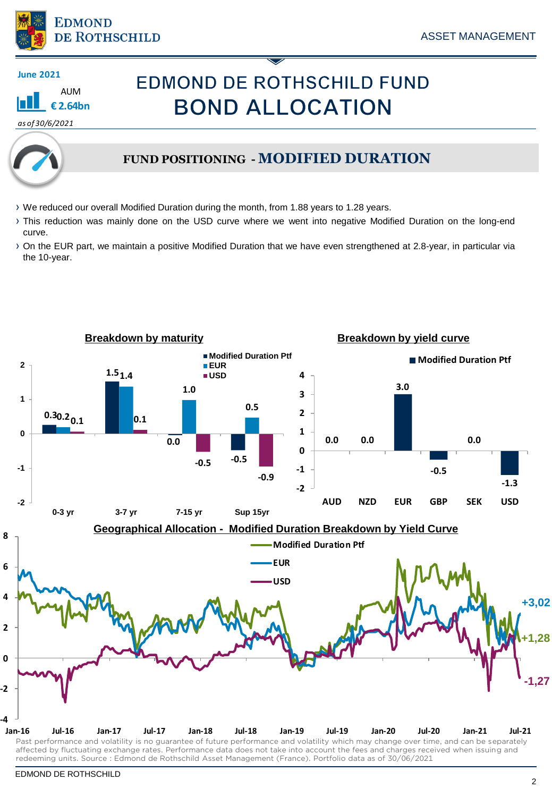

AUM **€ 2.64bn**

## **EDMOND DE ROTHSCHILD FUND BOND ALLOCATION**

*as of 30/6/2021*



## **FUND POSITIONING - MODIFIED DURATION**

- › We reduced our overall Modified Duration during the month, from 1.88 years to 1.28 years.
- › This reduction was mainly done on the USD curve where we went into negative Modified Duration on the long-end curve.
- › On the EUR part, we maintain a positive Modified Duration that we have even strengthened at 2.8-year, in particular via the 10-year.

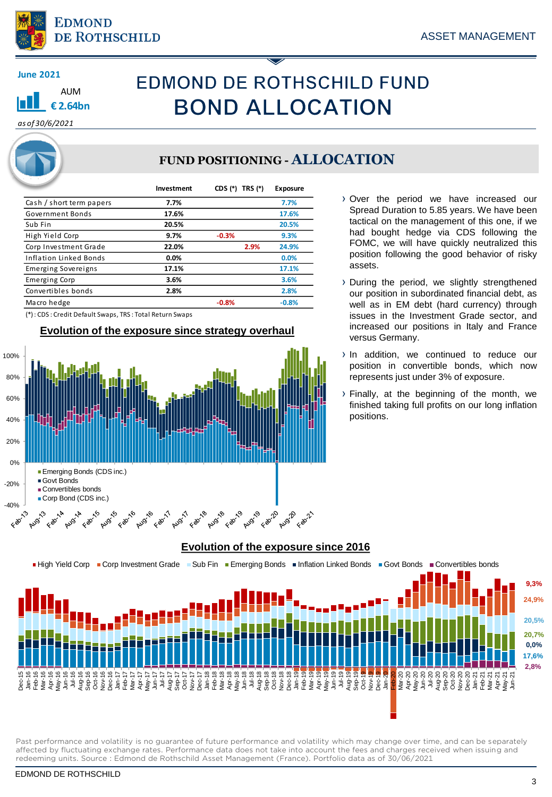



# **EDMOND DE ROTHSCHILD FUND BOND ALLOCATION**

*as of 30/6/2021*

## **FUND POSITIONING - ALLOCATION**

|                            | Investment | CDS (*)<br>TRS (*) | Exposure |
|----------------------------|------------|--------------------|----------|
| Cash / short term papers   | 7.7%       |                    | 7.7%     |
| Government Bonds           | 17.6%      |                    | 17.6%    |
| Sub Fin                    | 20.5%      |                    | 20.5%    |
| High Yield Corp            | 9.7%       | $-0.3%$            | 9.3%     |
| Corp Investment Grade      | 22.0%      | 2.9%               | 24.9%    |
| Inflation Linked Bonds     | 0.0%       |                    | 0.0%     |
| <b>Emerging Sovereigns</b> | 17.1%      |                    | 17.1%    |
| <b>Emerging Corp</b>       | 3.6%       |                    | 3.6%     |
| Convertibles bonds         | 2.8%       |                    | 2.8%     |
| Macro hedge                |            | $-0.8%$            | $-0.8%$  |

(\*) : CDS : Credit Default Swaps, TRS : Total Return Swaps

### **Evolution of the exposure since strategy overhaul**



- › Over the period we have increased our Spread Duration to 5.85 years. We have been tactical on the management of this one, if we had bought hedge via CDS following the FOMC, we will have quickly neutralized this position following the good behavior of risky assets.
- › During the period, we slightly strengthened our position in subordinated financial debt, as well as in EM debt (hard currency) through issues in the Investment Grade sector, and increased our positions in Italy and France versus Germany.
- › In addition, we continued to reduce our position in convertible bonds, which now represents just under 3% of exposure.
- › Finally, at the beginning of the month, we finished taking full profits on our long inflation positions.



**Evolution of the exposure since 2016**

Past performance and volatility is no guarantee of future performance and volatility which may change over time, and can be separately affected by fluctuating exchange rates. Performance data does not take into account the fees and charges received when issuing and redeeming units. Source : Edmond de Rothschild Asset Management (France). Portfolio data as of 30/06/2021

#### EDMOND DE ROTHSCHILD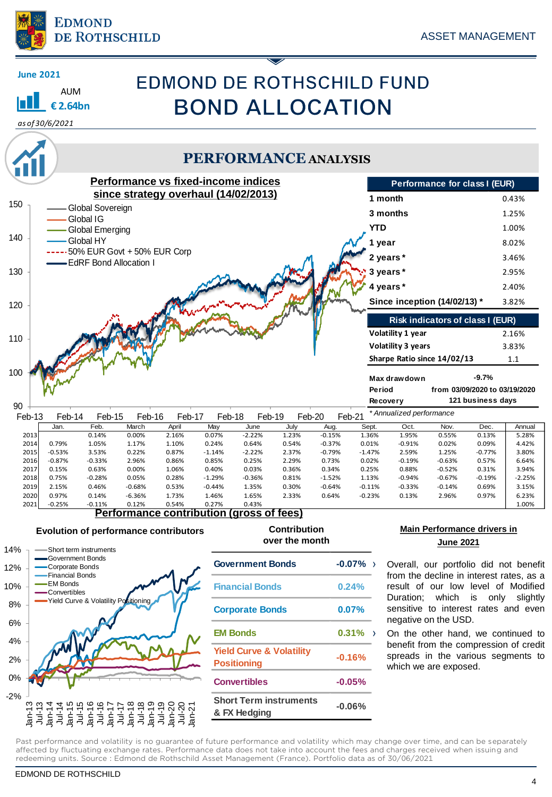

# **EDMOND DE ROTHSCHILD FUND BOND ALLOCATION**

**€ 2.64bn**

AUM

**June 2021**



## **PERFORMANCE ANALYSIS**

| Performance vs fixed-income indices |          |                               |          |                                          |          |          | Performance for class I (EUR) |                  |            |                           |                                  |                               |          |
|-------------------------------------|----------|-------------------------------|----------|------------------------------------------|----------|----------|-------------------------------|------------------|------------|---------------------------|----------------------------------|-------------------------------|----------|
| 150                                 |          |                               |          | since strategy overhaul (14/02/2013)     |          |          |                               |                  | 1 month    |                           |                                  |                               | 0.43%    |
|                                     |          | Global Sovereign<br>Global IG |          |                                          |          |          |                               |                  | 3 months   |                           |                                  |                               | 1.25%    |
|                                     |          | Global Emerging               |          |                                          |          |          |                               |                  | <b>YTD</b> |                           |                                  |                               | 1.00%    |
| 140                                 |          | Global HY                     |          |                                          |          |          |                               |                  | 1 year     |                           |                                  |                               | 8.02%    |
|                                     |          | 50% EUR Govt + 50% EUR Corp   |          |                                          |          |          |                               |                  | 2 years*   |                           |                                  |                               | 3.46%    |
| 130                                 |          | <b>EdRF Bond Allocation I</b> |          |                                          |          |          |                               |                  | 3 years*   |                           |                                  |                               | 2.95%    |
|                                     |          |                               |          |                                          |          |          |                               |                  | 4 years*   |                           |                                  |                               | 2.40%    |
| 120                                 |          |                               |          |                                          |          |          |                               |                  |            |                           | Since inception (14/02/13) *     |                               | 3.82%    |
|                                     |          |                               |          |                                          |          |          |                               |                  |            |                           |                                  |                               |          |
|                                     |          |                               |          |                                          |          |          |                               |                  |            |                           | Risk indicators of class I (EUR) |                               |          |
| 110                                 |          |                               |          |                                          |          |          |                               |                  |            | Volatility 1 year         |                                  |                               | 2.16%    |
|                                     |          |                               |          |                                          |          |          |                               |                  |            | <b>Volatility 3 years</b> |                                  |                               | 3.83%    |
|                                     |          |                               |          |                                          |          |          |                               |                  |            |                           | Sharpe Ratio since 14/02/13      |                               | 1.1      |
| 100                                 |          |                               |          |                                          |          |          |                               |                  |            | Max drawdown              |                                  | $-9.7%$                       |          |
|                                     |          |                               |          |                                          |          |          |                               |                  | Period     |                           |                                  | from 03/09/2020 to 03/19/2020 |          |
|                                     |          |                               |          |                                          |          |          |                               |                  | Recovery   |                           |                                  | 121 business days             |          |
| 90                                  |          |                               |          |                                          |          |          |                               |                  |            | * Annualized performance  |                                  |                               |          |
| Feb-13                              | Feb-14   | Feb-15                        | Feb-16   | Feb-17                                   | Feb-18   | Feb-19   |                               | Feb-20<br>Feb-21 |            |                           |                                  |                               |          |
|                                     | Jan.     | Feb.                          | March    | April                                    | May      | June     | July                          | Aug.             | Sept.      | Oct.                      | Nov.                             | Dec.                          | Annual   |
| 2013                                |          | 0.14%                         | 0.00%    | 2.16%                                    | 0.07%    | $-2.22%$ | 1.23%                         | $-0.15%$         | 1.36%      | 1.95%                     | 0.55%                            | 0.13%                         | 5.28%    |
| 2014                                | 0.79%    | 1.05%                         | 1.17%    | 1.10%                                    | 0.24%    | 0.64%    | 0.54%                         | $-0.37%$         | 0.01%      | $-0.91%$                  | 0.02%                            | 0.09%                         | 4.42%    |
| 2015                                | $-0.53%$ | 3.53%                         | 0.22%    | 0.87%                                    | $-1.14%$ | $-2.22%$ | 2.37%                         | $-0.79%$         | $-1.47%$   | 2.59%                     | 1.25%                            | $-0.77%$                      | 3.80%    |
| 2016                                | $-0.87%$ | $-0.33%$                      | 2.96%    | 0.86%                                    | 0.85%    | 0.25%    | 2.29%                         | 0.73%            | 0.02%      | $-0.19%$                  | $-0.63%$                         | 0.57%                         | 6.64%    |
| 2017                                | 0.15%    | 0.63%                         | 0.00%    | 1.06%                                    | 0.40%    | 0.03%    | 0.36%                         | 0.34%            | 0.25%      | 0.88%                     | $-0.52%$                         | 0.31%                         | 3.94%    |
| 2018                                | 0.75%    | $-0.28%$                      | 0.05%    | 0.28%                                    | $-1.29%$ | $-0.36%$ | 0.81%                         | $-1.52%$         | 1.13%      | $-0.94%$                  | $-0.67%$                         | $-0.19%$                      | $-2.25%$ |
| 2019                                | 2.15%    | 0.46%                         | $-0.68%$ | 0.53%                                    | $-0.44%$ | 1.35%    | 0.30%                         | $-0.64%$         | $-0.11%$   | $-0.33%$                  | $-0.14%$                         | 0.69%                         | 3.15%    |
| 2020                                | 0.97%    | 0.14%                         | $-6.36%$ | 1.73%                                    | 1.46%    | 1.65%    | 2.33%                         | 0.64%            | $-0.23%$   | 0.13%                     | 2.96%                            | 0.97%                         | 6.23%    |
| 2021                                | $-0.25%$ | $-0.11%$                      | 0.12%    | 0.54%                                    | 0.27%    | 0.43%    |                               |                  |            |                           |                                  |                               | 1.00%    |
|                                     |          |                               |          | Performance contribution (gross of fees) |          |          |                               |                  |            |                           |                                  |                               |          |

### **Evolution of performance contributors Contribution**



## **over the month**

| <b>Government Bonds</b>                                   | $-0.07\%$ ) |  |
|-----------------------------------------------------------|-------------|--|
| <b>Financial Bonds</b>                                    | 0.24%       |  |
| <b>Corporate Bonds</b>                                    | $0.07\%$    |  |
| <b>EM Bonds</b>                                           | $0.31\%$    |  |
| <b>Yield Curve &amp; Volatility</b><br><b>Positioning</b> | $-0.16%$    |  |
| <b>Convertibles</b>                                       | $-0.05%$    |  |
| <b>Short Term instruments</b><br>& FX Hedging             | $-0.06%$    |  |

### **Main Performance drivers in June 2021**

Overall, our portfolio did not benefit from the decline in interest rates, as a result of our low level of Modified Duration; which is only slightly sensitive to interest rates and even negative on the USD.

On the other hand, we continued to benefit from the compression of credit spreads in the various segments to which we are exposed.

Past performance and volatility is no guarantee of future performance and volatility which may change over time, and can be separately affected by fluctuating exchange rates. Performance data does not take into account the fees and charges received when issuing and redeeming units. Source : Edmond de Rothschild Asset Management (France). Portfolio data as of 30/06/2021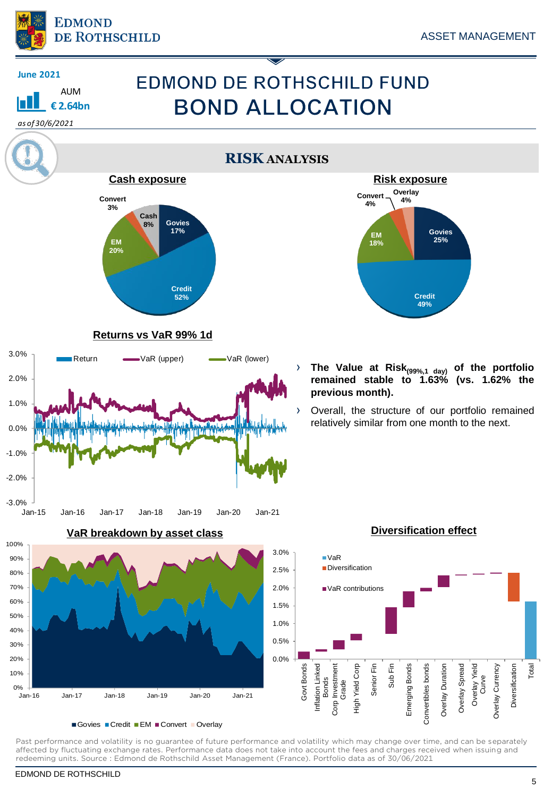

AUM **€ 2.64bn**

**June 2021**

*as of 30/6/2021*

# **EDMOND DE ROTHSCHILD FUND BOND ALLOCATION**

**RISK ANALYSIS**



### **Returns vs VaR 99% 1d**



**VaR breakdown by asset class**



Govies Credit EM Convert Overlay

Past performance and volatility is no guarantee of future performance and volatility which may change over time, and can be separately affected by fluctuating exchange rates. Performance data does not take into account the fees and charges received when issuing and redeeming units. Source : Edmond de Rothschild Asset Management (France). Portfolio data as of 30/06/2021



› **The Value at Risk(99%,1 day) of the portfolio remained stable to 1.63% (vs. 1.62% the previous month).**

› Overall, the structure of our portfolio remained relatively similar from one month to the next.



## **Diversification effect**

EDMOND DE ROTHSCHILD